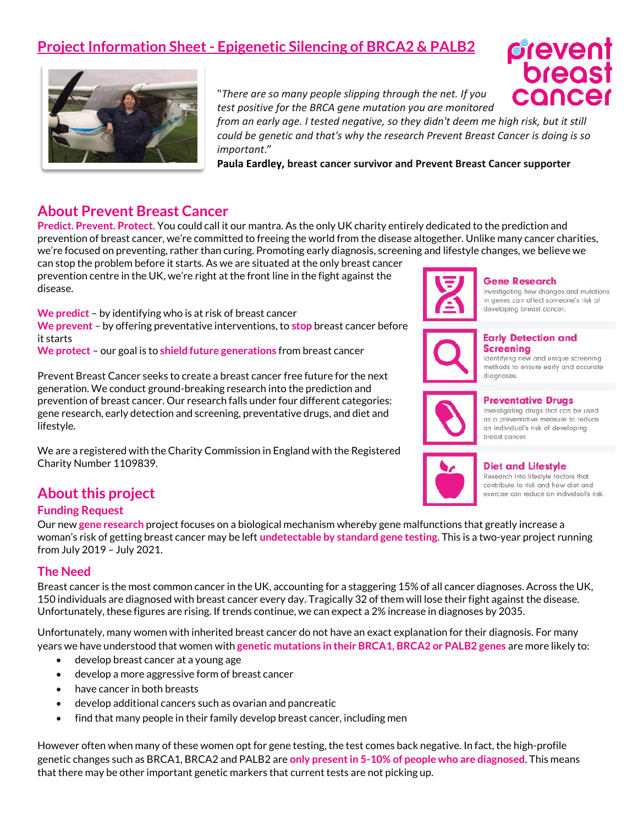# **Project Information Sheet - Epigenetic Silencing of BRCA2 & PALB2**



"*There are so many people slipping through the net. If you test positive for the BRCA gene mutation you are monitored* 

*from an early age. I tested negative, so they didn't deem me high risk, but it still could be genetic and that's why the research Prevent Breast Cancer is doing is so important*."

**Paula Eardley, breast cancer survivor and Prevent Breast Cancer supporter** 

## **About Prevent Breast Cancer**

**Predict. Prevent. Protect.** You could call it our mantra. As the only UK charity entirely dedicated to the prediction and prevention of breast cancer, we're committed to freeing the world from the disease altogether. Unlike many cancer charities, we're focused on preventing, rather than curing. Promoting early diagnosis, screening and lifestyle changes, we believe we

can stop the problem before it starts. As we are situated at the only breast cancer prevention centre in the UK, we're right at the front line in the fight against the disease.

**We predict** – by identifying who is at risk of breast cancer **We prevent** – by offering preventative interventions, to **stop** breast cancer before it starts

**We protect** – our goal is to **shield future generations** from breast cancer

Prevent Breast Cancer seeks to create a breast cancer free future for the next generation. We conduct ground-breaking research into the prediction and prevention of breast cancer. Our research falls under four different categories: gene research, early detection and screening, preventative drugs, and diet and lifestyle.

We are a registered with the Charity Commission in England with the Registered Charity Number 1109839.

## **About this project**

#### **Funding Request**

Our new **gene research** project focuses on a biological mechanism whereby gene malfunctions that greatly increase a woman's risk of getting breast cancer may be left **undetectable by standard gene testing**. This is a two-year project running from July 2019 – July 2021.

#### **The Need**

Breast cancer is the most common cancer in the UK, accounting for a staggering 15% of all cancer diagnoses. Across the UK, 150 individuals are diagnosed with breast cancer every day. Tragically 32 of them will lose their fight against the disease. Unfortunately, these figures are rising. If trends continue, we can expect a 2% increase in diagnoses by 2035.

Unfortunately, many women with inherited breast cancer do not have an exact explanation for their diagnosis. For many years we have understood that women with **genetic mutations in their BRCA1, BRCA2 or PALB2 genes** are more likely to:

- develop breast cancer at a young age
- develop a more aggressive form of breast cancer
- have cancer in both breasts
- develop additional cancers such as ovarian and pancreatic
- find that many people in their family develop breast cancer, including men

However often when many of these women opt for gene testing, the test comes back negative. In fact, the high-profile genetic changes such as BRCA1, BRCA2 and PALB2 are **only present in 5-10% of people who are diagnosed**. This means that there may be other important genetic markers that current tests are not picking up.



#### **Gene Research**

Investigating how changes and mutations in genes can affect someone's risk of developing breast cancer.



#### **Early Detection and Screening**

Identifying new and unique screening methods to ensure early and accurate diagnoses.



#### **Preventative Drugs**

Investigating drugs that can be used as a preventative measure to reduce an individual's risk of developing breast cancer.



#### **Diet and Lifestyle**

Research into lifestyle factors that contribute to risk and how diet and exercise can reduce an individual's risk.